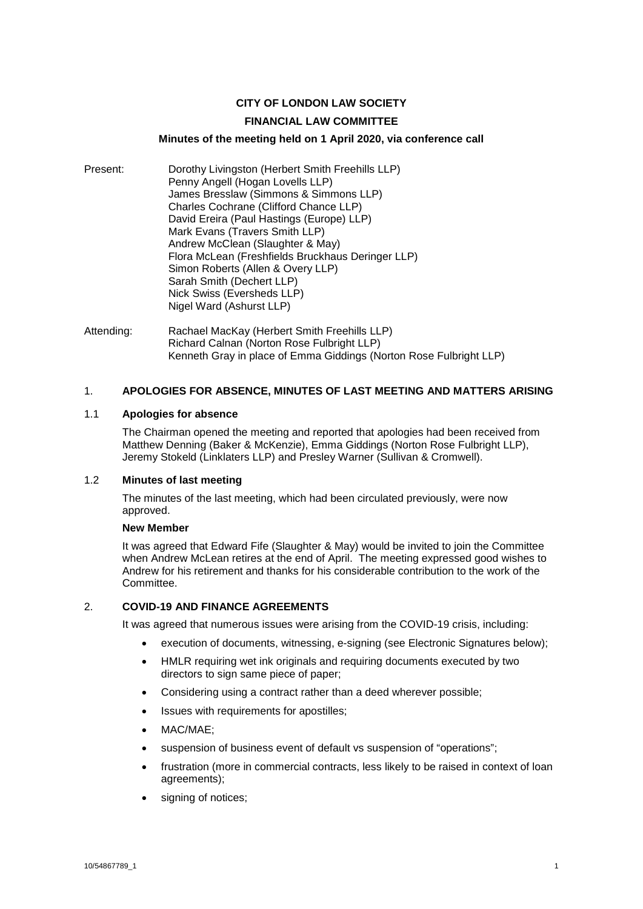# **CITY OF LONDON LAW SOCIETY**

### **FINANCIAL LAW COMMITTEE**

### **Minutes of the meeting held on 1 April 2020, via conference call**

- Present: Dorothy Livingston (Herbert Smith Freehills LLP) Penny Angell (Hogan Lovells LLP) James Bresslaw (Simmons & Simmons LLP) Charles Cochrane (Clifford Chance LLP) David Ereira (Paul Hastings (Europe) LLP) Mark Evans (Travers Smith LLP) Andrew McClean (Slaughter & May) Flora McLean (Freshfields Bruckhaus Deringer LLP) Simon Roberts (Allen & Overy LLP) Sarah Smith (Dechert LLP) Nick Swiss (Eversheds LLP) Nigel Ward (Ashurst LLP)
- Attending: Rachael MacKay (Herbert Smith Freehills LLP) Richard Calnan (Norton Rose Fulbright LLP) Kenneth Gray in place of Emma Giddings (Norton Rose Fulbright LLP)

## 1. **APOLOGIES FOR ABSENCE, MINUTES OF LAST MEETING AND MATTERS ARISING**

#### 1.1 **Apologies for absence**

The Chairman opened the meeting and reported that apologies had been received from Matthew Denning (Baker & McKenzie), Emma Giddings (Norton Rose Fulbright LLP), Jeremy Stokeld (Linklaters LLP) and Presley Warner (Sullivan & Cromwell).

## 1.2 **Minutes of last meeting**

The minutes of the last meeting, which had been circulated previously, were now approved.

#### **New Member**

It was agreed that Edward Fife (Slaughter & May) would be invited to join the Committee when Andrew McLean retires at the end of April. The meeting expressed good wishes to Andrew for his retirement and thanks for his considerable contribution to the work of the Committee.

#### 2. **COVID-19 AND FINANCE AGREEMENTS**

It was agreed that numerous issues were arising from the COVID-19 crisis, including:

- execution of documents, witnessing, e-signing (see Electronic Signatures below);
- HMLR requiring wet ink originals and requiring documents executed by two directors to sign same piece of paper;
- Considering using a contract rather than a deed wherever possible;
- Issues with requirements for apostilles;
- MAC/MAE;
- suspension of business event of default vs suspension of "operations";
- frustration (more in commercial contracts, less likely to be raised in context of loan agreements);
- signing of notices;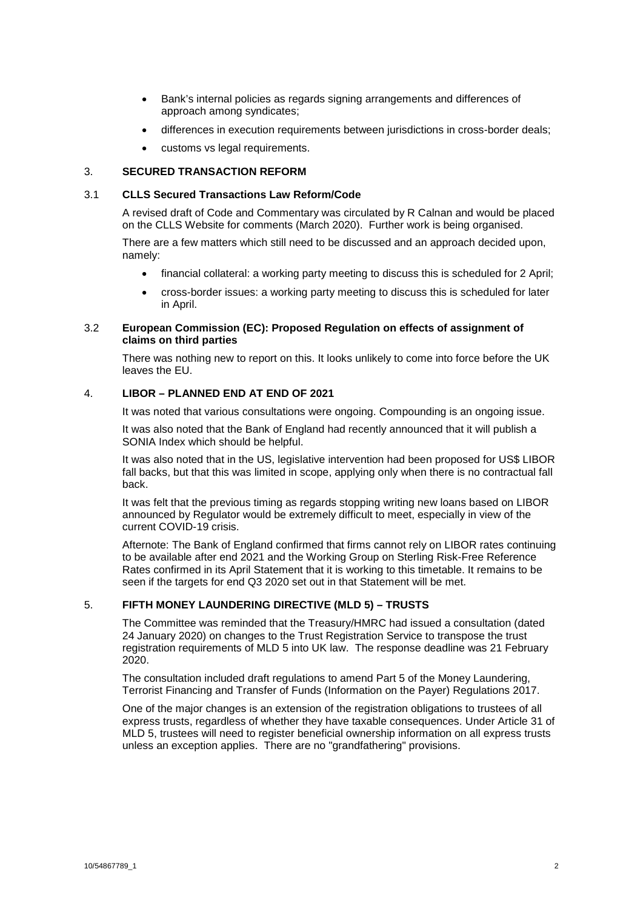- Bank's internal policies as regards signing arrangements and differences of approach among syndicates;
- differences in execution requirements between jurisdictions in cross-border deals;
- customs vs legal requirements.

# 3. **SECURED TRANSACTION REFORM**

### 3.1 **CLLS Secured Transactions Law Reform/Code**

A revised draft of Code and Commentary was circulated by R Calnan and would be placed on the CLLS Website for comments (March 2020). Further work is being organised.

There are a few matters which still need to be discussed and an approach decided upon, namely:

- financial collateral: a working party meeting to discuss this is scheduled for 2 April;
- cross-border issues: a working party meeting to discuss this is scheduled for later in April.

## 3.2 **European Commission (EC): Proposed Regulation on effects of assignment of claims on third parties**

There was nothing new to report on this. It looks unlikely to come into force before the UK leaves the EU.

## 4. **LIBOR – PLANNED END AT END OF 2021**

It was noted that various consultations were ongoing. Compounding is an ongoing issue.

It was also noted that the Bank of England had recently announced that it will publish a SONIA Index which should be helpful.

It was also noted that in the US, legislative intervention had been proposed for US\$ LIBOR fall backs, but that this was limited in scope, applying only when there is no contractual fall back.

It was felt that the previous timing as regards stopping writing new loans based on LIBOR announced by Regulator would be extremely difficult to meet, especially in view of the current COVID-19 crisis.

Afternote: The Bank of England confirmed that firms cannot rely on LIBOR rates continuing to be available after end 2021 and the Working Group on Sterling Risk-Free Reference Rates confirmed in its April Statement that it is working to this timetable. It remains to be seen if the targets for end Q3 2020 set out in that Statement will be met.

# 5. **FIFTH MONEY LAUNDERING DIRECTIVE (MLD 5) – TRUSTS**

The Committee was reminded that the Treasury/HMRC had issued a consultation (dated 24 January 2020) on changes to the Trust Registration Service to transpose the trust registration requirements of MLD 5 into UK law. The response deadline was 21 February 2020.

The consultation included draft regulations to amend Part 5 of the Money Laundering, Terrorist Financing and Transfer of Funds (Information on the Payer) Regulations 2017.

One of the major changes is an extension of the registration obligations to trustees of all express trusts, regardless of whether they have taxable consequences. Under Article 31 of MLD 5, trustees will need to register beneficial ownership information on all express trusts unless an exception applies. There are no "grandfathering" provisions.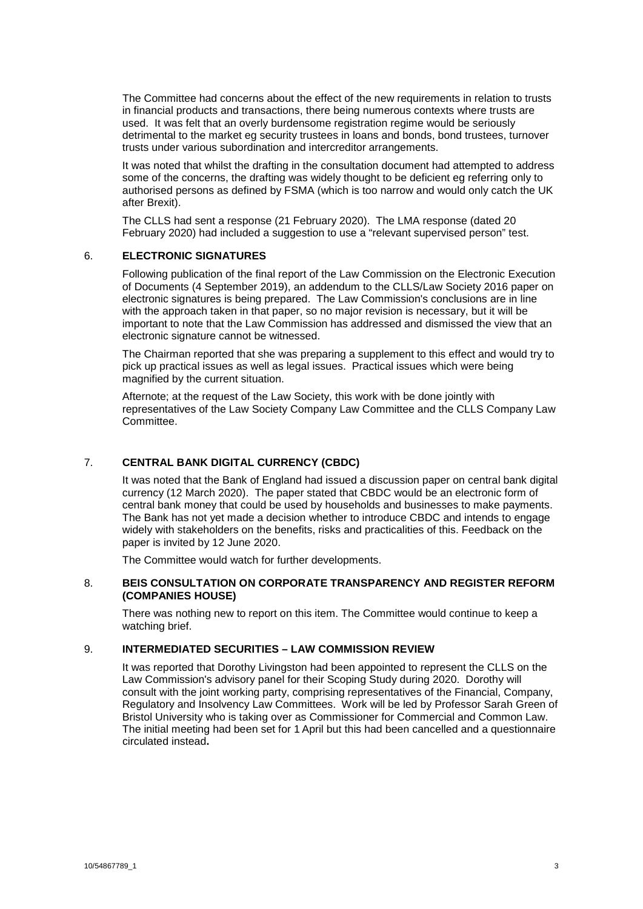The Committee had concerns about the effect of the new requirements in relation to trusts in financial products and transactions, there being numerous contexts where trusts are used. It was felt that an overly burdensome registration regime would be seriously detrimental to the market eg security trustees in loans and bonds, bond trustees, turnover trusts under various subordination and intercreditor arrangements.

It was noted that whilst the drafting in the consultation document had attempted to address some of the concerns, the drafting was widely thought to be deficient eg referring only to authorised persons as defined by FSMA (which is too narrow and would only catch the UK after Brexit).

The CLLS had sent a response (21 February 2020). The LMA response (dated 20 February 2020) had included a suggestion to use a "relevant supervised person" test.

## 6. **ELECTRONIC SIGNATURES**

Following publication of the final report of the Law Commission on the Electronic Execution of Documents (4 September 2019), an addendum to the CLLS/Law Society 2016 paper on electronic signatures is being prepared. The Law Commission's conclusions are in line with the approach taken in that paper, so no major revision is necessary, but it will be important to note that the Law Commission has addressed and dismissed the view that an electronic signature cannot be witnessed.

The Chairman reported that she was preparing a supplement to this effect and would try to pick up practical issues as well as legal issues. Practical issues which were being magnified by the current situation.

Afternote; at the request of the Law Society, this work with be done jointly with representatives of the Law Society Company Law Committee and the CLLS Company Law Committee.

## 7. **CENTRAL BANK DIGITAL CURRENCY (CBDC)**

It was noted that the Bank of England had issued a discussion paper on central bank digital currency (12 March 2020). The paper stated that CBDC would be an electronic form of central bank money that could be used by households and businesses to make payments. The Bank has not yet made a decision whether to introduce CBDC and intends to engage widely with stakeholders on the benefits, risks and practicalities of this. Feedback on the paper is invited by 12 June 2020.

The Committee would watch for further developments.

### 8. **BEIS CONSULTATION ON CORPORATE TRANSPARENCY AND REGISTER REFORM (COMPANIES HOUSE)**

There was nothing new to report on this item. The Committee would continue to keep a watching brief.

# 9. **INTERMEDIATED SECURITIES – LAW COMMISSION REVIEW**

It was reported that Dorothy Livingston had been appointed to represent the CLLS on the Law Commission's advisory panel for their Scoping Study during 2020. Dorothy will consult with the joint working party, comprising representatives of the Financial, Company, Regulatory and Insolvency Law Committees. Work will be led by Professor Sarah Green of Bristol University who is taking over as Commissioner for Commercial and Common Law. The initial meeting had been set for 1 April but this had been cancelled and a questionnaire circulated instead**.**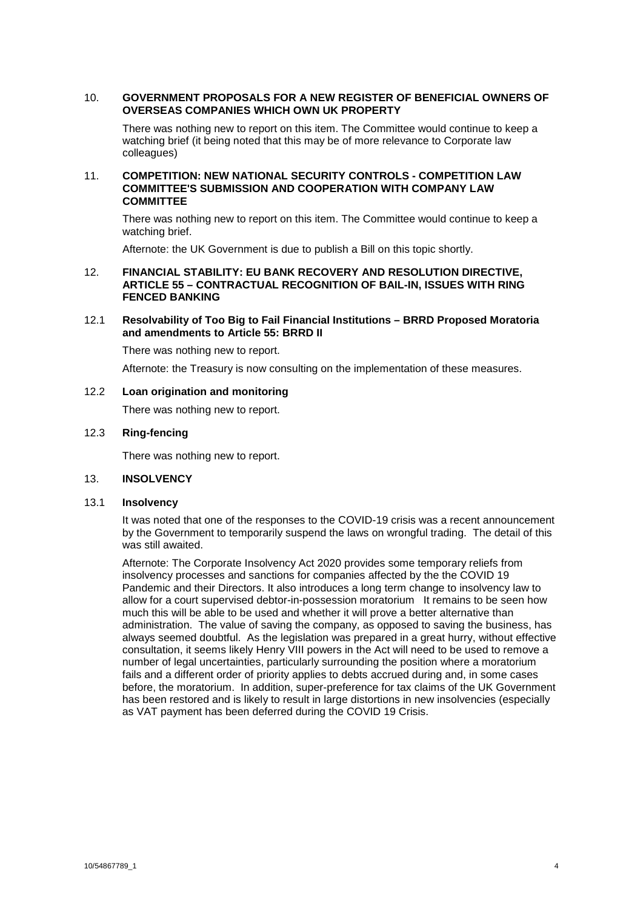#### 10. **GOVERNMENT PROPOSALS FOR A NEW REGISTER OF BENEFICIAL OWNERS OF OVERSEAS COMPANIES WHICH OWN UK PROPERTY**

There was nothing new to report on this item. The Committee would continue to keep a watching brief (it being noted that this may be of more relevance to Corporate law colleagues)

### 11. **COMPETITION: NEW NATIONAL SECURITY CONTROLS - COMPETITION LAW COMMITTEE'S SUBMISSION AND COOPERATION WITH COMPANY LAW COMMITTEE**

There was nothing new to report on this item. The Committee would continue to keep a watching brief.

Afternote: the UK Government is due to publish a Bill on this topic shortly.

### 12. **FINANCIAL STABILITY: EU BANK RECOVERY AND RESOLUTION DIRECTIVE, ARTICLE 55 – CONTRACTUAL RECOGNITION OF BAIL-IN, ISSUES WITH RING FENCED BANKING**

### 12.1 **Resolvability of Too Big to Fail Financial Institutions – BRRD Proposed Moratoria and amendments to Article 55: BRRD II**

There was nothing new to report.

Afternote: the Treasury is now consulting on the implementation of these measures.

## 12.2 **Loan origination and monitoring**

There was nothing new to report.

## 12.3 **Ring-fencing**

There was nothing new to report.

## 13. **INSOLVENCY**

#### 13.1 **Insolvency**

It was noted that one of the responses to the COVID-19 crisis was a recent announcement by the Government to temporarily suspend the laws on wrongful trading. The detail of this was still awaited.

Afternote: The Corporate Insolvency Act 2020 provides some temporary reliefs from insolvency processes and sanctions for companies affected by the the COVID 19 Pandemic and their Directors. It also introduces a long term change to insolvency law to allow for a court supervised debtor-in-possession moratorium It remains to be seen how much this will be able to be used and whether it will prove a better alternative than administration. The value of saving the company, as opposed to saving the business, has always seemed doubtful. As the legislation was prepared in a great hurry, without effective consultation, it seems likely Henry VIII powers in the Act will need to be used to remove a number of legal uncertainties, particularly surrounding the position where a moratorium fails and a different order of priority applies to debts accrued during and, in some cases before, the moratorium. In addition, super-preference for tax claims of the UK Government has been restored and is likely to result in large distortions in new insolvencies (especially as VAT payment has been deferred during the COVID 19 Crisis.